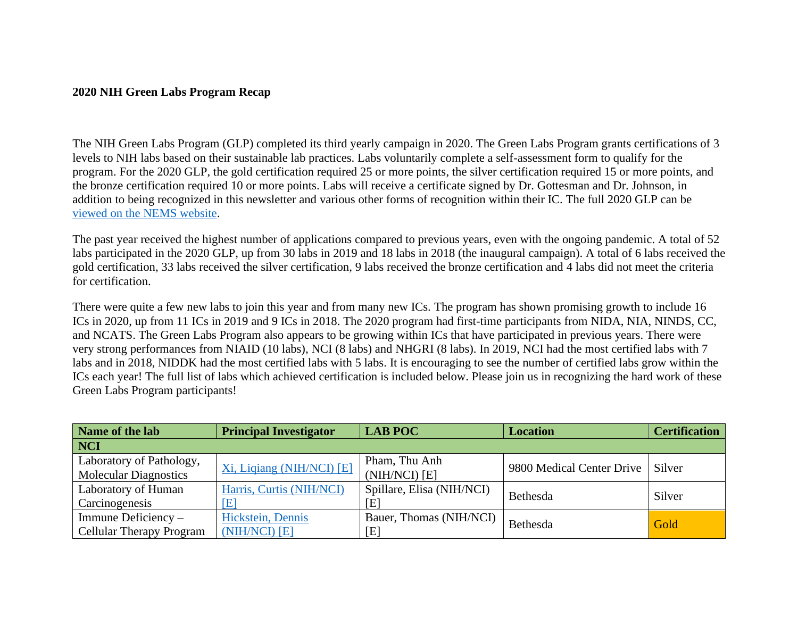## **2020 NIH Green Labs Program Recap**

The NIH Green Labs Program (GLP) completed its third yearly campaign in 2020. The Green Labs Program grants certifications of 3 levels to NIH labs based on their sustainable lab practices. Labs voluntarily complete a self-assessment form to qualify for the program. For the 2020 GLP, the gold certification required 25 or more points, the silver certification required 15 or more points, and the bronze certification required 10 or more points. Labs will receive a certificate signed by Dr. Gottesman and Dr. Johnson, in addition to being recognized in this newsletter and various other forms of recognition within their IC. The full 2020 GLP can be [viewed on the NEMS website.](https://nems.nih.gov/Documents/Green%20Labs%20Program/2020_NIH_GLP.pdf)

The past year received the highest number of applications compared to previous years, even with the ongoing pandemic. A total of 52 labs participated in the 2020 GLP, up from 30 labs in 2019 and 18 labs in 2018 (the inaugural campaign). A total of 6 labs received the gold certification, 33 labs received the silver certification, 9 labs received the bronze certification and 4 labs did not meet the criteria for certification.

There were quite a few new labs to join this year and from many new ICs. The program has shown promising growth to include 16 ICs in 2020, up from 11 ICs in 2019 and 9 ICs in 2018. The 2020 program had first-time participants from NIDA, NIA, NINDS, CC, and NCATS. The Green Labs Program also appears to be growing within ICs that have participated in previous years. There were very strong performances from NIAID (10 labs), NCI (8 labs) and NHGRI (8 labs). In 2019, NCI had the most certified labs with 7 labs and in 2018, NIDDK had the most certified labs with 5 labs. It is encouraging to see the number of certified labs grow within the ICs each year! The full list of labs which achieved certification is included below. Please join us in recognizing the hard work of these Green Labs Program participants!

| Name of the lab                 | <b>Principal Investigator</b> | <b>LAB POC</b>            | <b>Location</b>                    | <b>Certification</b> |  |
|---------------------------------|-------------------------------|---------------------------|------------------------------------|----------------------|--|
| <b>NCI</b>                      |                               |                           |                                    |                      |  |
| Laboratory of Pathology,        | Xi, Liqiang (NIH/NCI) [E]     | Pham, Thu Anh             | 9800 Medical Center Drive   Silver |                      |  |
| <b>Molecular Diagnostics</b>    |                               | (NIH/NCI) [E]             |                                    |                      |  |
| Laboratory of Human             | Harris, Curtis (NIH/NCI)      | Spillare, Elisa (NIH/NCI) | Bethesda                           | Silver               |  |
| Carcinogenesis                  | EI                            | [E]                       |                                    |                      |  |
| Immune Deficiency –             | Hickstein, Dennis             | Bauer, Thomas (NIH/NCI)   | Bethesda                           | Gold                 |  |
| <b>Cellular Therapy Program</b> | (NIH/NCI) [E]                 | ΓEΙ                       |                                    |                      |  |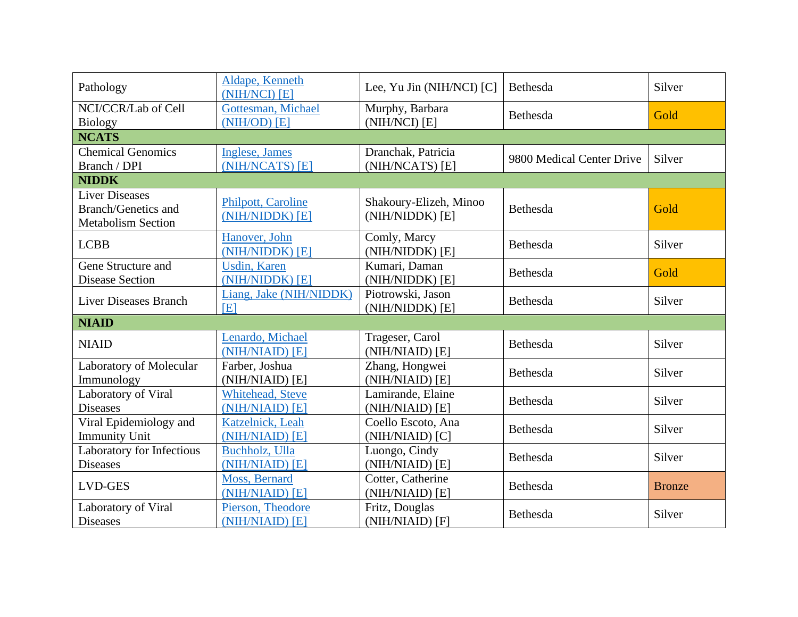|                                  | Aldape, Kenneth         |                           |                           |               |
|----------------------------------|-------------------------|---------------------------|---------------------------|---------------|
| Pathology                        | (NIH/NCI) [E]           | Lee, Yu Jin (NIH/NCI) [C] | Bethesda                  | Silver        |
| NCI/CCR/Lab of Cell              | Gottesman, Michael      | Murphy, Barbara           |                           |               |
| <b>Biology</b>                   | (NIH/OD) [E]            | (NIH/NCI) [E]             | Bethesda                  | Gold          |
| <b>NCATS</b>                     |                         |                           |                           |               |
| <b>Chemical Genomics</b>         | <b>Inglese</b> , James  | Dranchak, Patricia        | 9800 Medical Center Drive | Silver        |
| Branch / DPI                     | (NIH/NCATS) [E]         | (NIH/NCATS) [E]           |                           |               |
| <b>NIDDK</b>                     |                         |                           |                           |               |
| <b>Liver Diseases</b>            |                         |                           |                           |               |
| <b>Branch/Genetics and</b>       | Philpott, Caroline      | Shakoury-Elizeh, Minoo    | Bethesda                  | Gold          |
| <b>Metabolism Section</b>        | (NIH/NIDDK) [E]         | (NIH/NIDDK) [E]           |                           |               |
|                                  | Hanover, John           | Comly, Marcy              | Bethesda                  | Silver        |
| <b>LCBB</b>                      | (NIH/NIDDK) [E]         | (NIH/NIDDK) [E]           |                           |               |
| Gene Structure and               | <b>Usdin, Karen</b>     | Kumari, Daman             |                           | Gold          |
| <b>Disease Section</b>           | (NIH/NIDDK) [E]         | (NIH/NIDDK) [E]           | Bethesda                  |               |
| Liver Diseases Branch            | Liang, Jake (NIH/NIDDK) | Piotrowski, Jason         | Bethesda                  | Silver        |
|                                  | EI                      | (NIH/NIDDK) [E]           |                           |               |
| <b>NIAID</b>                     |                         |                           |                           |               |
| <b>NIAID</b>                     | Lenardo, Michael        | Trageser, Carol           | Bethesda                  | Silver        |
|                                  | (NIH/NIAID) [E]         | (NIH/NIAID) [E]           |                           |               |
| Laboratory of Molecular          | Farber, Joshua          | Zhang, Hongwei            | Bethesda                  | Silver        |
| Immunology                       | (NIH/NIAID) [E]         | (NIH/NIAID) [E]           |                           |               |
| Laboratory of Viral              | Whitehead, Steve        | Lamirande, Elaine         | Bethesda                  | Silver        |
| <b>Diseases</b>                  | (NIH/NIAID) [E]         | (NIH/NIAID) [E]           |                           |               |
| Viral Epidemiology and           | Katzelnick, Leah        | Coello Escoto, Ana        |                           | Silver        |
| <b>Immunity Unit</b>             | (NIH/NIAID) [E]         | (NIH/NIAID) [C]           | Bethesda                  |               |
| <b>Laboratory for Infectious</b> | Buchholz, Ulla          | Luongo, Cindy             | Bethesda                  | Silver        |
| <b>Diseases</b>                  | (NIH/NIAID) [E]         | (NIH/NIAID) [E]           |                           |               |
| <b>LVD-GES</b>                   | Moss, Bernard           | Cotter, Catherine         | Bethesda                  | <b>Bronze</b> |
|                                  | (NIH/NIAID) [E]         | (NIH/NIAID) [E]           |                           |               |
| Laboratory of Viral              | Pierson, Theodore       | Fritz, Douglas            | Bethesda                  | Silver        |
| <b>Diseases</b>                  | (NIH/NIAID) [E]         | (NIH/NIAID) [F]           |                           |               |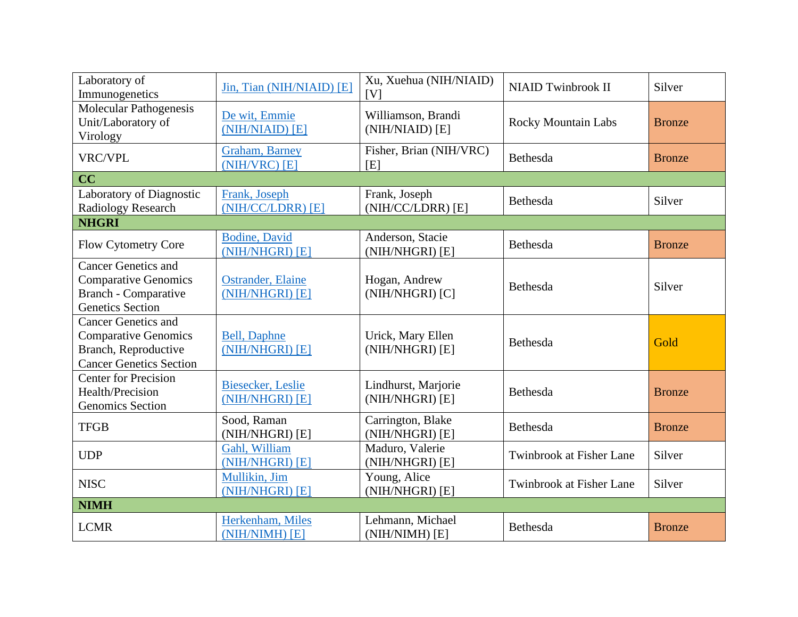| Laboratory of<br>Immunogenetics                                                                                     | Jin, Tian (NIH/NIAID) [E]                    | Xu, Xuehua (NIH/NIAID)<br>[V]          | <b>NIAID Twinbrook II</b>       | Silver        |
|---------------------------------------------------------------------------------------------------------------------|----------------------------------------------|----------------------------------------|---------------------------------|---------------|
| Molecular Pathogenesis<br>Unit/Laboratory of<br>Virology                                                            | De wit, Emmie<br>(NIH/NIAID) [E]             | Williamson, Brandi<br>(NIH/NIAID) [E]  | <b>Rocky Mountain Labs</b>      | <b>Bronze</b> |
| VRC/VPL                                                                                                             | <b>Graham</b> , Barney<br>(NIH/VRC) [E]      | Fisher, Brian (NIH/VRC)<br>[E]         | Bethesda                        | <b>Bronze</b> |
| CC                                                                                                                  |                                              |                                        |                                 |               |
| Laboratory of Diagnostic<br><b>Radiology Research</b>                                                               | Frank, Joseph<br>(NIH/CC/LDRR) [E]           | Frank, Joseph<br>(NIH/CC/LDRR) [E]     | Bethesda                        | Silver        |
| <b>NHGRI</b>                                                                                                        |                                              |                                        |                                 |               |
| Flow Cytometry Core                                                                                                 | <b>Bodine</b> , David<br>(NIH/NHGRI) [E]     | Anderson, Stacie<br>(NIH/NHGRI) [E]    | Bethesda                        | <b>Bronze</b> |
| <b>Cancer Genetics and</b><br><b>Comparative Genomics</b><br><b>Branch - Comparative</b><br><b>Genetics Section</b> | Ostrander, Elaine<br>(NIH/NHGRI) [E]         | Hogan, Andrew<br>(NIH/NHGRI) [C]       | Bethesda                        | Silver        |
| <b>Cancer Genetics and</b><br><b>Comparative Genomics</b><br>Branch, Reproductive<br><b>Cancer Genetics Section</b> | <b>Bell</b> , Daphne<br>(NIH/NHGRI) [E]      | Urick, Mary Ellen<br>(NIH/NHGRI) [E]   | Bethesda                        | Gold          |
| <b>Center for Precision</b><br>Health/Precision<br><b>Genomics Section</b>                                          | <b>Biesecker</b> , Leslie<br>(NIH/NHGRI) [E] | Lindhurst, Marjorie<br>(NIH/NHGRI) [E] | Bethesda                        | <b>Bronze</b> |
| <b>TFGB</b>                                                                                                         | Sood, Raman<br>(NIH/NHGRI) [E]               | Carrington, Blake<br>(NIH/NHGRI) [E]   | Bethesda                        | <b>Bronze</b> |
| <b>UDP</b>                                                                                                          | Gahl, William<br>(NIH/NHGRI) [E]             | Maduro, Valerie<br>(NIH/NHGRI) [E]     | <b>Twinbrook at Fisher Lane</b> | Silver        |
| <b>NISC</b>                                                                                                         | Mullikin, Jim<br>(NIH/NHGRI) [E]             | Young, Alice<br>(NIH/NHGRI) [E]        | <b>Twinbrook at Fisher Lane</b> | Silver        |
| <b>NIMH</b>                                                                                                         |                                              |                                        |                                 |               |
| <b>LCMR</b>                                                                                                         | Herkenham, Miles<br>(NIH/NIMH) [E]           | Lehmann, Michael<br>(NIH/NIMH) [E]     | Bethesda                        | <b>Bronze</b> |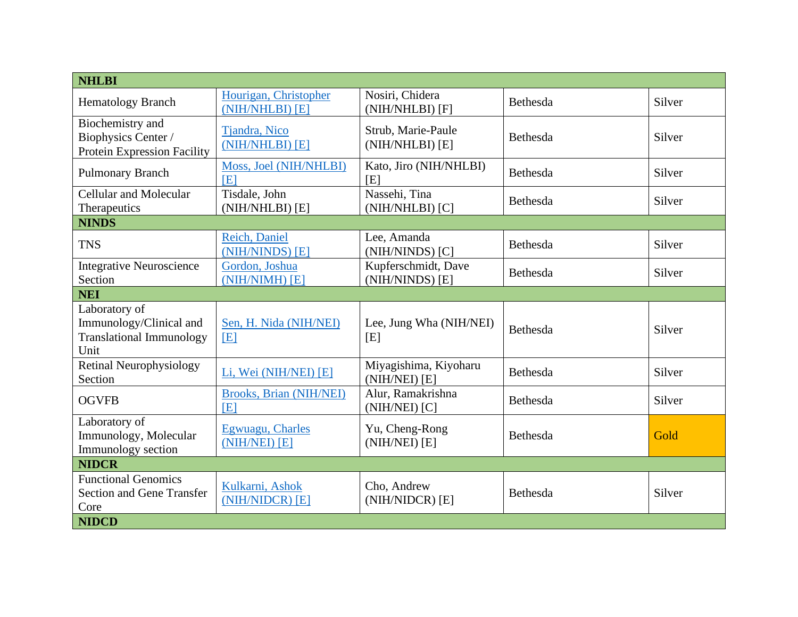| <b>NHLBI</b>                                                                        |                                              |                                        |          |        |
|-------------------------------------------------------------------------------------|----------------------------------------------|----------------------------------------|----------|--------|
| <b>Hematology Branch</b>                                                            | Hourigan, Christopher<br>(NIH/NHLBI) [E]     | Nosiri, Chidera<br>(NIH/NHLBI) [F]     | Bethesda | Silver |
| Biochemistry and<br>Biophysics Center /<br>Protein Expression Facility              | Tjandra, Nico<br>(NIH/NHLBI) [E]             | Strub, Marie-Paule<br>(NIH/NHLBI) [E]  | Bethesda | Silver |
| <b>Pulmonary Branch</b>                                                             | Moss, Joel (NIH/NHLBI)<br>[E]                | Kato, Jiro (NIH/NHLBI)<br>[E]          | Bethesda | Silver |
| <b>Cellular and Molecular</b><br>Therapeutics                                       | Tisdale, John<br>(NIH/NHLBI) [E]             | Nassehi, Tina<br>(NIH/NHLBI) [C]       | Bethesda | Silver |
| <b>NINDS</b>                                                                        |                                              |                                        |          |        |
| <b>TNS</b>                                                                          | Reich, Daniel<br>(NIH/NINDS) [E]             | Lee, Amanda<br>(NIH/NINDS) [C]         | Bethesda | Silver |
| <b>Integrative Neuroscience</b><br>Section                                          | Gordon, Joshua<br>(NIH/NIMH) [E]             | Kupferschmidt, Dave<br>(NIH/NINDS) [E] | Bethesda | Silver |
| <b>NEI</b>                                                                          |                                              |                                        |          |        |
| Laboratory of<br>Immunology/Clinical and<br><b>Translational Immunology</b><br>Unit | Sen, H. Nida (NIH/NEI)<br>[E]                | Lee, Jung Wha (NIH/NEI)<br>[E]         | Bethesda | Silver |
| <b>Retinal Neurophysiology</b><br>Section                                           | Li, Wei (NIH/NEI) [E]                        | Miyagishima, Kiyoharu<br>(NIH/NEI) [E] | Bethesda | Silver |
| <b>OGVFB</b>                                                                        | <b>Brooks, Brian (NIH/NEI)</b><br><b>IEI</b> | Alur, Ramakrishna<br>(NIH/NEI) [C]     | Bethesda | Silver |
| Laboratory of<br>Immunology, Molecular<br>Immunology section                        | <b>Egwuagu</b> , Charles<br>(NIH/NEI) [E]    | Yu, Cheng-Rong<br>(NIH/NEI) [E]        | Bethesda | Gold   |
| <b>NIDCR</b>                                                                        |                                              |                                        |          |        |
| <b>Functional Genomics</b><br><b>Section and Gene Transfer</b><br>Core              | Kulkarni, Ashok<br>(NIH/NIDCR) [E]           | Cho, Andrew<br>(NIH/NIDCR) [E]         | Bethesda | Silver |
| <b>NIDCD</b>                                                                        |                                              |                                        |          |        |